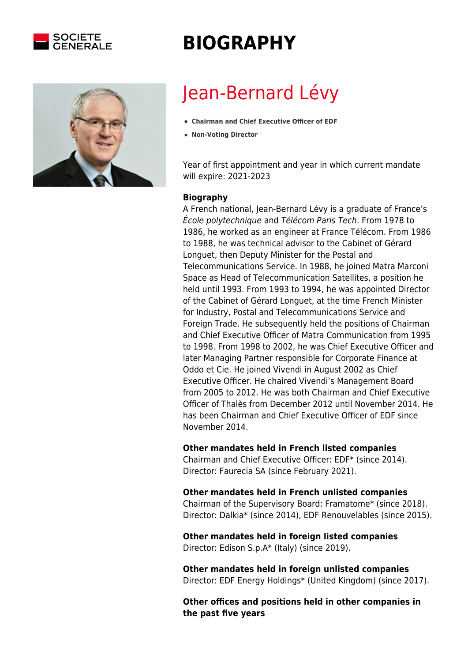



## **BIOGRAPHY**

# Jean-Bernard Lévy

- **Chairman and Chief Executive Officer of EDF**
- **Non-Voting Director**

Year of first appointment and year in which current mandate will expire: 2021-2023

### **Biography**

A French national, Jean-Bernard Lévy is a graduate of France's École polytechnique and Télécom Paris Tech. From 1978 to 1986, he worked as an engineer at France Télécom. From 1986 to 1988, he was technical advisor to the Cabinet of Gérard Longuet, then Deputy Minister for the Postal and Telecommunications Service. In 1988, he joined Matra Marconi Space as Head of Telecommunication Satellites, a position he held until 1993. From 1993 to 1994, he was appointed Director of the Cabinet of Gérard Longuet, at the time French Minister for Industry, Postal and Telecommunications Service and Foreign Trade. He subsequently held the positions of Chairman and Chief Executive Officer of Matra Communication from 1995 to 1998. From 1998 to 2002, he was Chief Executive Officer and later Managing Partner responsible for Corporate Finance at Oddo et Cie. He joined Vivendi in August 2002 as Chief Executive Officer. He chaired Vivendi's Management Board from 2005 to 2012. He was both Chairman and Chief Executive Officer of Thalès from December 2012 until November 2014. He has been Chairman and Chief Executive Officer of EDF since November 2014.

#### **Other mandates held in French listed companies**

Chairman and Chief Executive Officer: EDF\* (since 2014). Director: Faurecia SA (since February 2021).

#### **Other mandates held in French unlisted companies**

Chairman of the Supervisory Board: Framatome\* (since 2018). Director: Dalkia\* (since 2014), EDF Renouvelables (since 2015).

#### **Other mandates held in foreign listed companies** Director: Edison S.p.A\* (Italy) (since 2019).

**Other mandates held in foreign unlisted companies** Director: EDF Energy Holdings\* (United Kingdom) (since 2017).

**Other offices and positions held in other companies in the past five years**